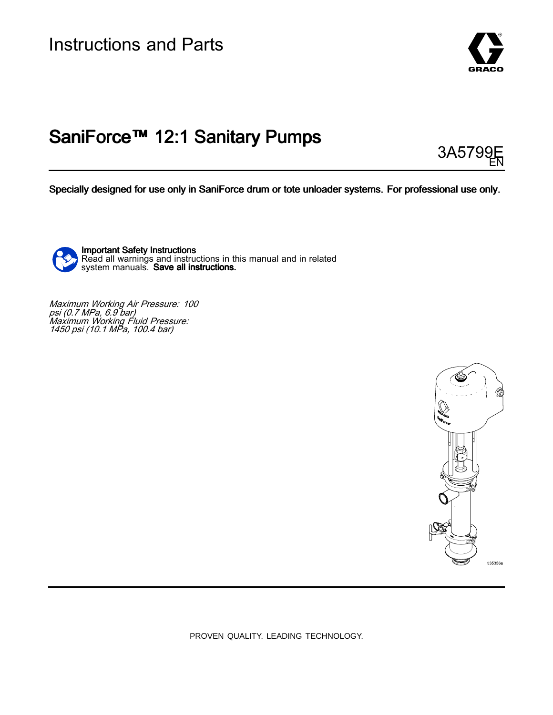

# SaniForce™ 12:1 Sanitary Pumps

3A5799 EN

Specially designed for use only in SaniForce drum or tote unloader systems. For professional use only.



Important Safety Instructions Read all warnings and instructions in this manual and in related<br>system manuals . **Save all instructions** system manuals. **Save all instructions.** 

Maximum Working Air Pressure: 100<br>nsi (0.7 MPa. 6.9 har) psi (0.7 MPa, 6.9 bar)<br>Maximum Working Fli Maximum Working Fluid Pressure: <sup>1450</sup> psi (10.1 MPa, 100.4 bar)



PROVEN QUALITY. LEADING TECHNOLOGY.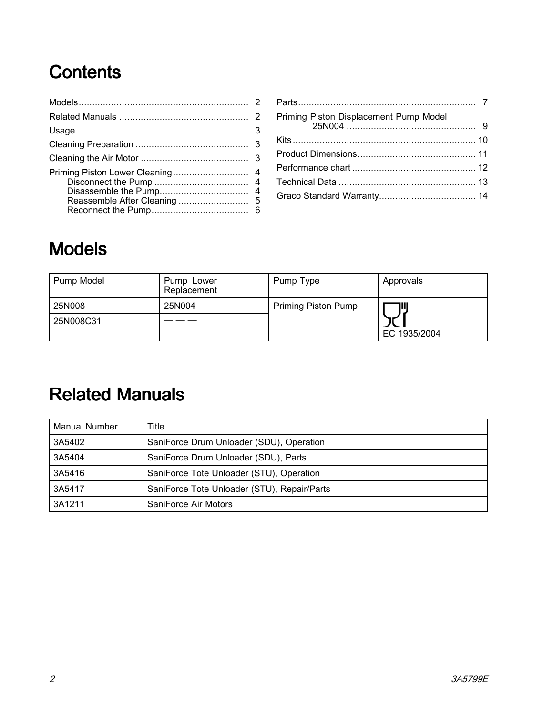# Contents

| Priming Piston Displacement Pump Model |
|----------------------------------------|
|                                        |
|                                        |
|                                        |
|                                        |
|                                        |
|                                        |

# Models

| Pump Model | Pump Lower<br>Replacement | Pump Type           | Approvals    |
|------------|---------------------------|---------------------|--------------|
| 25N008     | 25N004                    | Priming Piston Pump | Ш            |
| 25N008C31  |                           |                     | EC 1935/2004 |

# **Related Manuals**

| <b>Manual Number</b> | Title                                       |
|----------------------|---------------------------------------------|
| 3A5402               | SaniForce Drum Unloader (SDU), Operation    |
| 3A5404               | SaniForce Drum Unloader (SDU), Parts        |
| 3A5416               | SaniForce Tote Unloader (STU), Operation    |
| 3A5417               | SaniForce Tote Unloader (STU), Repair/Parts |
| 3A1211               | SaniForce Air Motors                        |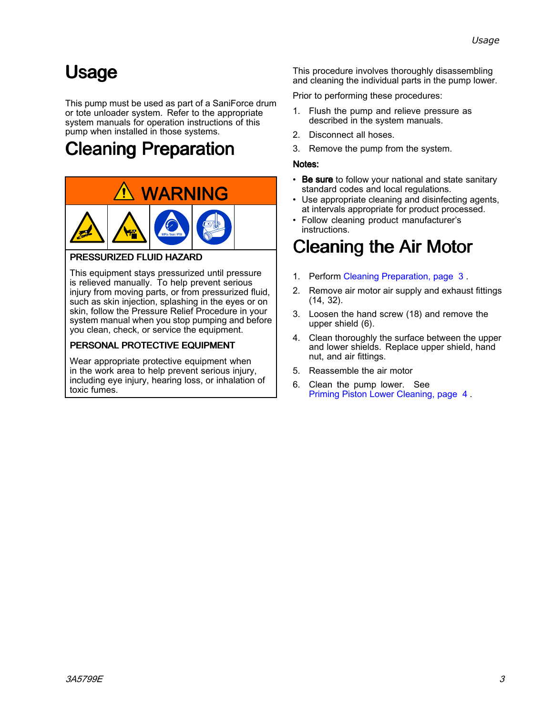# <span id="page-2-0"></span>Usage

This pump must be used as part of <sup>a</sup> SaniForce drum or tote unloader system. Refer to the appropriate system manuals for operation instructions of this pump when installed in those systems.

# Cleaning Preparation



#### PRESSURIZED FLUID HAZARD

This equipment stays pressurized until pressure is relieved manually. To help prevent serious injury from moving parts, or from pressurized fluid, such as skin injection, splashing in the eyes or on skin, follow the Pressure Relief Procedure in your system manual when you stop pumping and before you clean, check, or service the equipment.

#### PERSONAL PROTECTIVE EQUIPMENT

Wear appropriate protective equipment when in the work area to help prevent serious injury, including eye injury, hearing loss, or inhalation of toxic fumes.

This procedure involves thoroughly disassembling and cleaning the individual parts in the pump lower.

Prior to performing these procedures:

- 1. Flush the pump and relieve pressure as described in the system manuals.
- 2. Disconnect all hoses.<br>3. Remove the pump fro
- Remove the pump from the system.

#### Notes:

- •Be sure to follow your national and state sanitary standard codes and local regulations.
- • Use appropriate cleaning and disinfecting agents, at intervals appropriate for product processed.
- • Follow cleaning product manufacturer's instructions.

# Cleaning the Air Motor

- 1. Perform Cleaning Preparation, page <sup>3</sup> .
- 2. Remove air motor air supply and exhaust fittings (14, 32).
- 3. Loosen the hand screw (18) and remove the upper shield (6).
- 4. Clean thoroughly the surface between the upper and lower shields. Replace upper shield, hand nut, and air fittings.
- 5. Reassemble the air motor
- 6. Clean the pump lower. See Priming Piston Lower [Cleaning,](#page-3-0) page [4](#page-3-0) .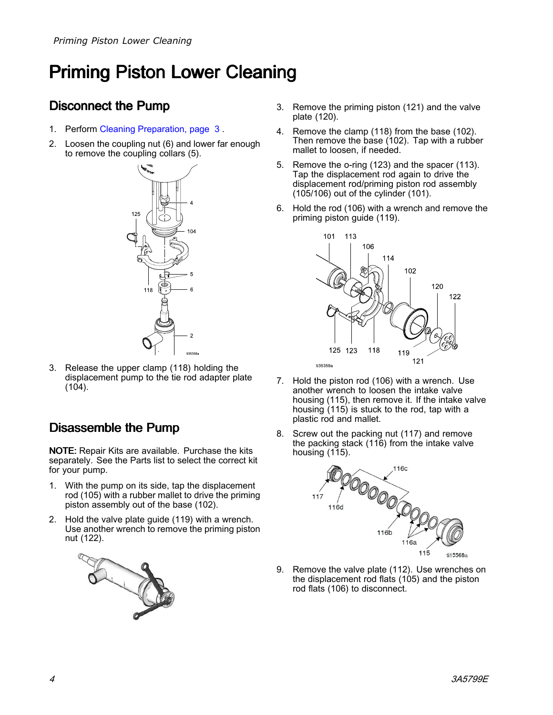# <span id="page-3-0"></span>Priming Piston Lower Cleaning

### Disconnect the Pump

- 1. Perform Cleaning [Preparation,](#page-2-0) page [3](#page-2-0) .
- 2. Loosen the coupling nut (6) and lower far enough to remove the coupling collars (5).



3. Release the upper clamp (118) holding the displacement pump to the tie rod adapter plate (104).

### Disassemble the Pump

NOTE: Repair Kits are available. Purchase the kits separately. See the Parts list to select the correct kit for your pump.

- 1. With the pump on its side, tap the displacement rod (105) with <sup>a</sup> rubber mallet to drive the priming piston assembly out of the base (102).
- 2. Hold the valve plate guide (119) with <sup>a</sup> wrench. Use another wrench to remove the priming piston nut (122).



- 3. Remove the priming piston (121) and the valve plate (120).
- 4. Remove the clamp (118) from the base (102). Then remove the base (102). Tap with <sup>a</sup> rubber mallet to loosen, if needed.
- 5. Remove the o-ring (123) and the spacer (113). Tap the displacement rod again to drive the displacement rod/priming piston rod assembly (105/106) out of the cylinder (101).
- 6. Hold the rod (106) with <sup>a</sup> wrench and remove the priming piston guide (119).



- 7. Hold the piston rod (106) with <sup>a</sup> wrench. Use another wrench to loosen the intake valve housing (115), then remove it. If the intake valve housing (115) is stuck to the rod, tap with <sup>a</sup> plastic rod and mallet.
- 8. Screw out the packing nut (117) and remove the packing stack (116) from the intake valve housing (115).



9. Remove the valve plate (112). Use wrenches on the displacement rod flats (105) and the piston rod flats (106) to disconnect.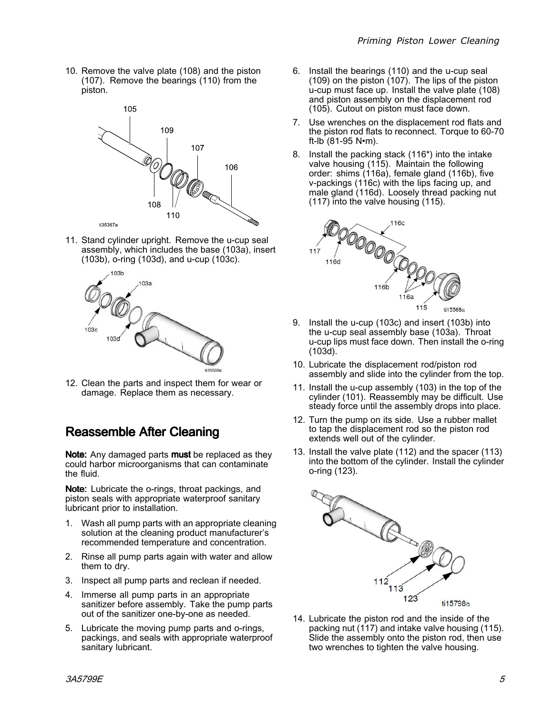<span id="page-4-0"></span>10. Remove the valve plate (108) and the piston (107). Remove the bearings (110) from the piston.



11. Stand cylinder upright. Remove the u-cup seal assembly, which includes the base (103a), insert (103b), o-ring (103d), and u-cup (103c).



12. Clean the parts and inspect them for wear or damage. Replace them as necessary.

### Reassemble After Cleaning

Note: Any damaged parts must be replaced as they could harbor microorganisms that can contaminate the fluid.

Note: Lubricate the o-rings, throat packings, and piston seals with appropriate waterproof sanitary lubricant prior to installation.

- 1. Wash all pump parts with an appropriate cleaning solution at the cleaning product manufacturer's recommended temperature and concentration.
- 2. Rinse all pump parts again with water and allow them to dry.
- 3. Inspect all pump parts and reclean if needed.
- 4. Immerse all pump parts in an appropriate sanitizer before assembly. Take the pump parts out of the sanitizer one-by-one as needed.
- 5. Lubricate the moving pump parts and o-rings, packings, and seals with appropriate waterproof sanitary lubricant.
- 6. Install the bearings (110) and the u-cup seal (109) on the piston (107). The lips of the piston u-cup must face up. Install the valve plate (108) and piston assembly on the displacement rod (105). Cutout on piston must face down.
- 7. Use wrenches on the displacement rod flats and the piston rod flats to reconnect. Torque to 60-70 ft-lb (81-95 N•m).
- 8. Install the packing stack (116\*) into the intake valve housing (115). Maintain the following order: shims (116a), female gland (116b), five v-packings (116c) with the lips facing up, and male gland (116d). Loosely thread packing nut (117) into the valve housing (115).



- 9. Install the u-cup (103c) and insert (103b) into the u-cup seal assembly base (103a). Throat u-cup lips must face down. Then install the o-ring (103d).
- 10. Lubricate the displacement rod/piston rod assembly and slide into the cylinder from the top.
- 11. Install the u-cup assembly (103) in the top of the cylinder (101). Reassembly may be difficult. Use steady force until the assembly drops into place.
- 12. Turn the pump on its side. Use <sup>a</sup> rubber mallet to tap the displacement rod so the piston rod extends well out of the cylinder.
- 13. Install the valve plate (112) and the spacer (113) into the bottom of the cylinder. Install the cylinder o-ring (123).



14. Lubricate the piston rod and the inside of the packing nut (117) and intake valve housing (115). Slide the assembly onto the piston rod, then use two wrenches to tighten the valve housing.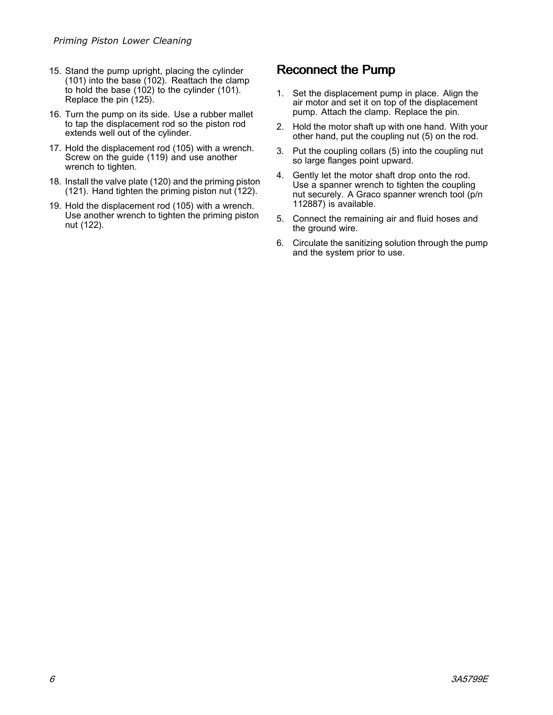- <span id="page-5-0"></span>15. Stand the pump upright, placing the cylinder (101) into the base (102). Reattach the clamp to hold the base (102) to the cylinder (101). Replace the pin (125).
- 16. Turn the pump on its side. Use <sup>a</sup> rubber mallet to tap the displacement rod so the piston rod extends well out of the cylinder.
- 17. Hold the displacement rod (105) with <sup>a</sup> wrench. Screw on the guide (119) and use another wrench to tighten.
- 18. Install the valve plate (120) and the priming piston (121). Hand tighten the priming piston nut (122).
- 19. Hold the displacement rod (105) with <sup>a</sup> wrench. Use another wrench to tighten the priming piston nut (122).

### Reconnect the Pump

- 1. Set the displacement pump in place. Align the air motor and set it on top of the displacement pump. Attach the clamp. Replace the pin.
- 2. Hold the motor shaft up with one hand. With your other hand, put the coupling nut (5) on the rod.
- 3. Put the coupling collars (5) into the coupling nut so large flanges point upward.
- 4. Gently let the motor shaft drop onto the rod. Use <sup>a</sup> spanner wrench to tighten the coupling nut securely. <sup>A</sup> Graco spanner wrench tool (p/n 112887) is available.
- 5. Connect the remaining air and fluid hoses and the ground wire.
- 6. Circulate the sanitizing solution through the pump and the system prior to use.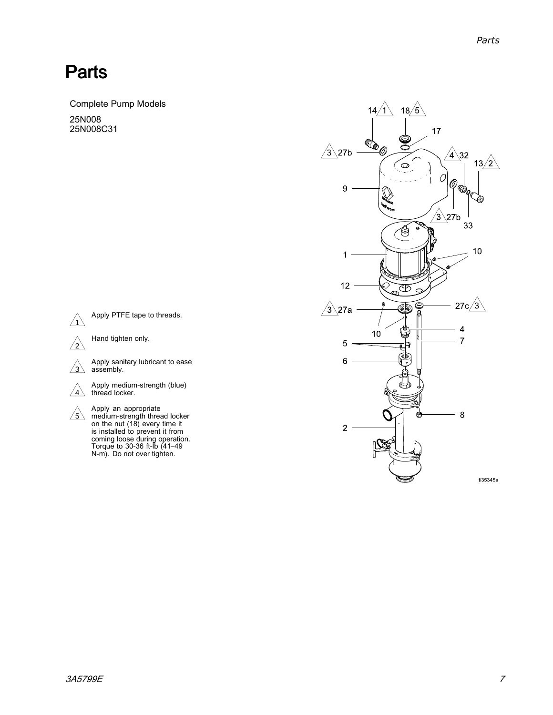### <span id="page-6-0"></span>**Parts**

Complete Pump Models 25N008

25N008C31

 $\sqrt{1}$ 

 $\sqrt{2}$ 

 $\sqrt{3}$ 

assembly.





N-m). Do not over tighten.

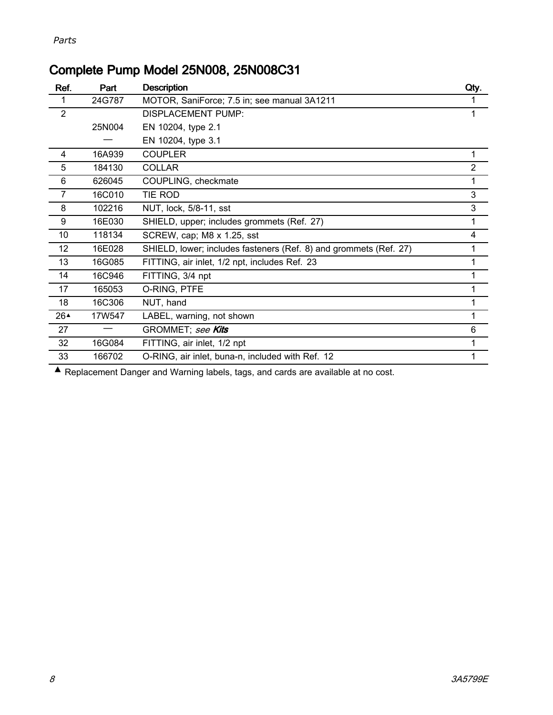|  |  |  |  | Complete Pump Model 25N008, 25N008C31 |
|--|--|--|--|---------------------------------------|
|--|--|--|--|---------------------------------------|

| Ref.           | Part   | <b>Description</b>                                                               | Qty.           |
|----------------|--------|----------------------------------------------------------------------------------|----------------|
|                | 24G787 | MOTOR, SaniForce; 7.5 in; see manual 3A1211                                      | 1              |
| $\overline{2}$ |        | DISPLACEMENT PUMP:                                                               | 1              |
|                | 25N004 | EN 10204, type 2.1                                                               |                |
|                |        | EN 10204, type 3.1                                                               |                |
| 4              | 16A939 | <b>COUPLER</b>                                                                   | 1              |
| 5              | 184130 | <b>COLLAR</b>                                                                    | $\overline{2}$ |
| 6              | 626045 | COUPLING, checkmate                                                              | $\mathbf{1}$   |
| 7              | 16C010 | TIE ROD                                                                          | 3              |
| 8              | 102216 | NUT, lock, 5/8-11, sst                                                           | 3              |
| 9              | 16E030 | SHIELD, upper; includes grommets (Ref. 27)                                       | $\mathbf{1}$   |
| 10             | 118134 | SCREW, cap; M8 x 1.25, sst                                                       | 4              |
| 12             | 16E028 | SHIELD, lower; includes fasteners (Ref. 8) and grommets (Ref. 27)                | 1              |
| 13             | 16G085 | FITTING, air inlet, 1/2 npt, includes Ref. 23                                    | 1              |
| 14             | 16C946 | FITTING, 3/4 npt                                                                 | 1              |
| 17             | 165053 | O-RING, PTFE                                                                     | 1              |
| 18             | 16C306 | NUT, hand                                                                        | 1              |
| 26▲            | 17W547 | LABEL, warning, not shown                                                        | 1              |
| 27             |        | GROMMET; see Kits                                                                | 6              |
| 32             | 16G084 | FITTING, air inlet, 1/2 npt                                                      | 1              |
| 33             | 166702 | O-RING, air inlet, buna-n, included with Ref. 12                                 | 1              |
|                |        | Replacement Danger and Warning labels, tags, and cards are available at no cost. |                |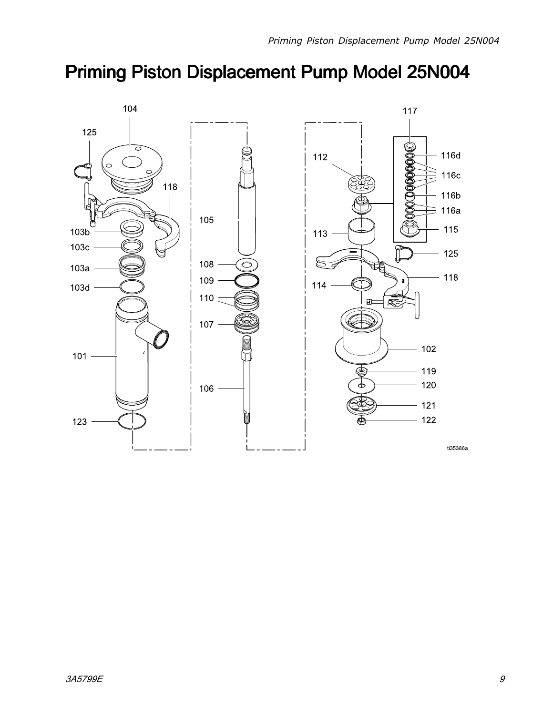# <span id="page-8-0"></span>Priming Piston Displacement Displacement Displacement Pump Model 25N004

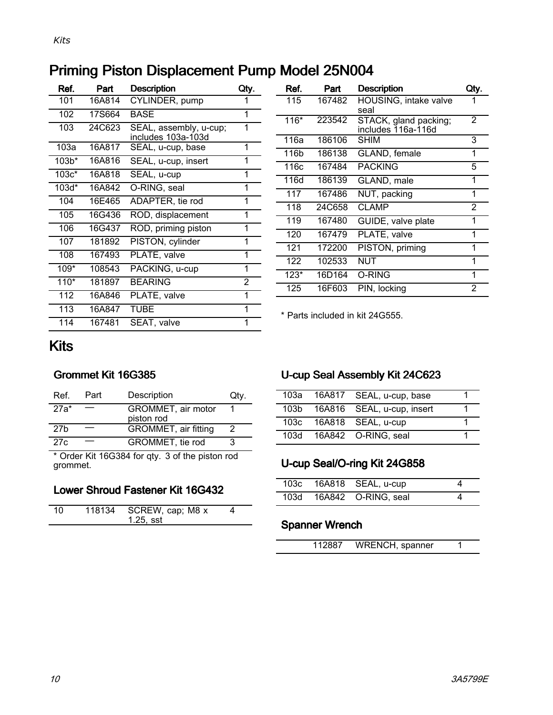### <span id="page-9-0"></span>Priming Piston Displacement Pump Model 25N004

| Ref.             | Part   | <b>Description</b>                           | Qty. |
|------------------|--------|----------------------------------------------|------|
| 101              | 16A814 | CYLINDER, pump                               |      |
| 102              | 17S664 | BASE                                         | 1    |
| 103              | 24C623 | SEAL, assembly, u-cup;<br>includes 103a-103d | 1    |
| 103a             | 16A817 | SEAL, u-cup, base                            | 1    |
| 103 <sup>†</sup> | 16A816 | SEAL, u-cup, insert                          | 1    |
| $103c*$          | 16A818 | SEAL, u-cup                                  | 1    |
| $103d*$          | 16A842 | O-RING, seal                                 | 1    |
| 104              | 16E465 | ADAPTER, tie rod                             | 1    |
| 105              | 16G436 | ROD, displacement                            | 1    |
| 106              | 16G437 | ROD, priming piston                          | 1    |
| 107              | 181892 | PISTON, cylinder                             | 1    |
| 108              | 167493 | PLATE, valve                                 | 1    |
| 109*             | 108543 | PACKING, u-cup                               | 1    |
| $110*$           | 181897 | <b>BEARING</b>                               | 2    |
| 112              | 16A846 | PLATE, valve                                 | 1    |
| 113              | 16A847 | TUBE                                         | 1    |
| 114              | 167481 | SEAT, valve                                  | 1    |

| Ref.   | Part   | <b>Description</b>                          | Qty. |
|--------|--------|---------------------------------------------|------|
| 115    | 167482 | HOUSING, intake valve<br>seal               | 1    |
| $116*$ | 223542 | STACK, gland packing;<br>includes 116a-116d | 2    |
| 116a   | 186106 | SHIM                                        | 3    |
| 116b   | 186138 | GLAND, female                               | 1    |
| 116c   | 167484 | <b>PACKING</b>                              | 5    |
| 116d   | 186139 | GLAND, male                                 | 1    |
| 117    | 167486 | NUT, packing                                | 1    |
| 118    | 24C658 | <b>CLAMP</b>                                | 2    |
| 119    | 167480 | GUIDE, valve plate                          | 1    |
| 120    | 167479 | PLATE, valve                                | 1    |
| 121    | 172200 | PISTON, priming                             | 1    |
| 122    | 102533 | NUT                                         | 1    |
| $123*$ | 16D164 | O-RING                                      | 1    |
| 125    | 16F603 | PIN, locking                                | 2    |

\* Parts included in kit 24G555.

### Kits

### Grommet Kit 16G385

| Ref.            | Part | Description                      | Qtv. |
|-----------------|------|----------------------------------|------|
| $27a*$          |      | GROMMET, air motor<br>piston rod |      |
| 27 <sub>b</sub> |      | GROMMET, air fitting             | 2    |
| 27c             |      | GROMMET, tie rod                 | 3    |

27c — GROMMET, tie rod 3<br>
\* Order Kit 16G384 for qty. 3 of the piston rod<br>
arcmmet grommet.

### Lower Shroud Fastener Kit 16G432

| 10. | 118134 | SCREW, cap; M8 x |  |
|-----|--------|------------------|--|
|     |        |                  |  |
|     |        | $1.25$ , sst     |  |
|     |        |                  |  |
|     |        |                  |  |

### U-cup Seal Assembly Kit 24C623

| 103a | 16A817 SEAL, u-cup, base        |  |
|------|---------------------------------|--|
|      | 103b 16A816 SEAL, u-cup, insert |  |
| 103c | 16A818 SEAL, u-cup              |  |
| 103d | 16A842 O-RING, seal             |  |
|      |                                 |  |

### U-cup Seal/O-ring Kit 24G858

|  | 103c  16A818  SEAL, u-cup  |  |
|--|----------------------------|--|
|  | 103d  16A842  O-RING, seal |  |

### Spanner Wrench

| 112887 | WRENCH, spanner |  |
|--------|-----------------|--|
|        |                 |  |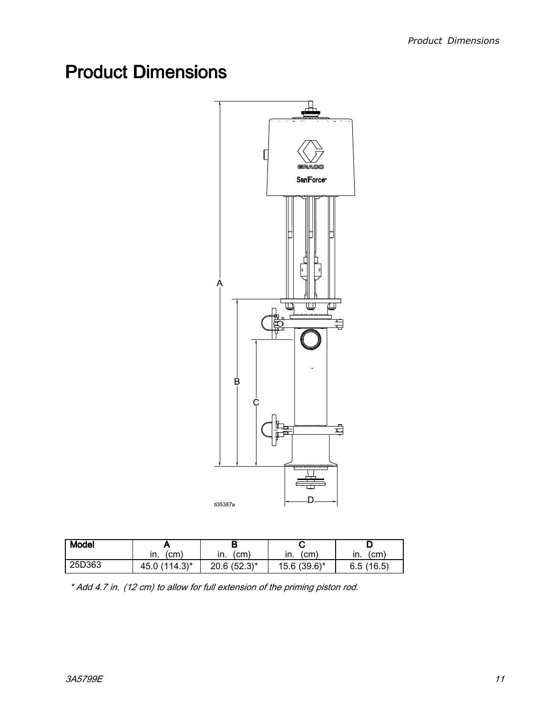# <span id="page-10-0"></span>**Product Dimensions**



| <b>Model</b> |               |                  |              |             |
|--------------|---------------|------------------|--------------|-------------|
|              | (cm<br>ın.    | (cm)<br>ın.      | cm.<br>ın.   | (cm)<br>ın. |
| 25D363       | 45.0 (114.3)* | $20.6(52.3)^{*}$ | 15.6 (39.6)* | 6.5(16.5)   |

\* Add 4.7 in. (12 cm) to allow for full extension of the priming piston rod.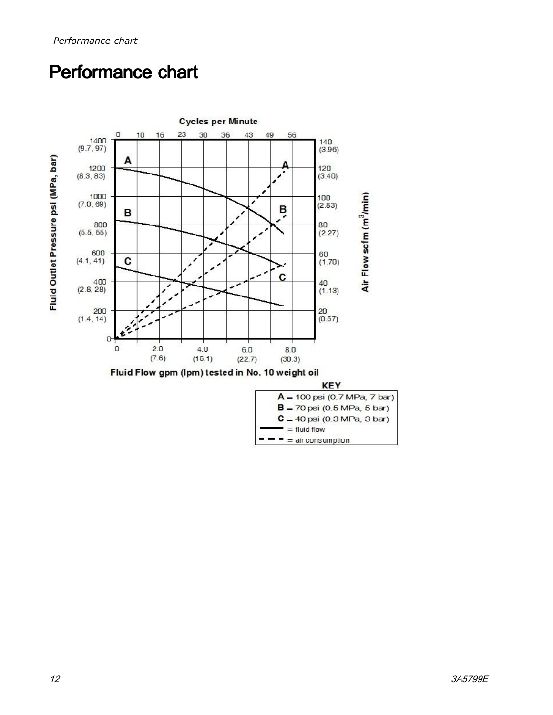# <span id="page-11-0"></span>Performance chart

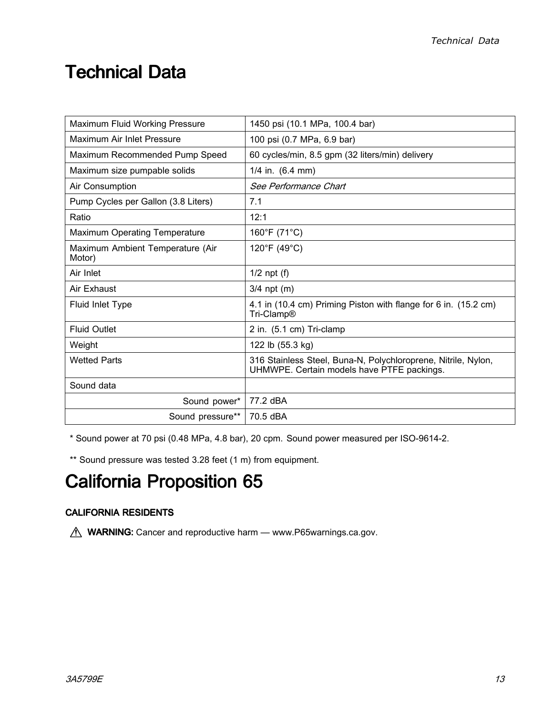### <span id="page-12-0"></span>**Technical Data**

| Maximum Fluid Working Pressure             | 1450 psi (10.1 MPa, 100.4 bar)                                                                              |  |  |
|--------------------------------------------|-------------------------------------------------------------------------------------------------------------|--|--|
| Maximum Air Inlet Pressure                 | 100 psi (0.7 MPa, 6.9 bar)                                                                                  |  |  |
| Maximum Recommended Pump Speed             | 60 cycles/min, 8.5 gpm (32 liters/min) delivery                                                             |  |  |
| Maximum size pumpable solids               | $1/4$ in. $(6.4$ mm)                                                                                        |  |  |
| Air Consumption                            | See Performance Chart                                                                                       |  |  |
| Pump Cycles per Gallon (3.8 Liters)        | 7.1                                                                                                         |  |  |
| Ratio                                      | 12:1                                                                                                        |  |  |
| <b>Maximum Operating Temperature</b>       | 160°F (71°C)                                                                                                |  |  |
| Maximum Ambient Temperature (Air<br>Motor) | 120°F (49°C)                                                                                                |  |  |
| Air Inlet                                  | $1/2$ npt (f)                                                                                               |  |  |
| Air Exhaust                                | $3/4$ npt (m)                                                                                               |  |  |
| Fluid Inlet Type                           | 4.1 in (10.4 cm) Priming Piston with flange for 6 in. (15.2 cm)<br>Tri-Clamp <sup>®</sup>                   |  |  |
| <b>Fluid Outlet</b>                        | 2 in. (5.1 cm) Tri-clamp                                                                                    |  |  |
| Weight                                     | 122 lb (55.3 kg)                                                                                            |  |  |
| <b>Wetted Parts</b>                        | 316 Stainless Steel, Buna-N, Polychloroprene, Nitrile, Nylon,<br>UHMWPE. Certain models have PTFE packings. |  |  |
| Sound data                                 |                                                                                                             |  |  |
| Sound power*                               | 77.2 dBA                                                                                                    |  |  |
| Sound pressure**                           | 70.5 dBA                                                                                                    |  |  |

\* Sound power at <sup>70</sup> psi (0.48 MPa, 4.8 bar), <sup>20</sup> cpm. Sound power measured per ISO-9614-2.

\*\* Sound pressure was tested 3.28 feet (1 m) from equipment.

# California Proposition 65

### **CALIFORNIA RESIDENTS**

**MARNING:** Cancer and reproductive harm — www.P65warnings.ca.gov.